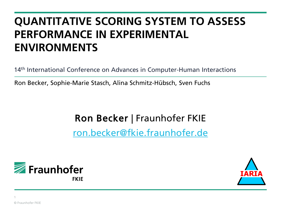# **QUANTITATIVE SCORING SYSTEM TO ASSESS PERFORMANCE IN EXPERIMENTAL ENVIRONMENTS**

14<sup>th</sup> International Conference on Advances in Computer-Human Interactions

Ron Becker, Sophie-Marie Stasch, Alina Schmitz-Hübsch, Sven Fuchs

Ron Becker | Fraunhofer FKIE [ron.becker@fkie.fraunhofer.de](mailto:ron.becker@fkie.fraunhofer.de)



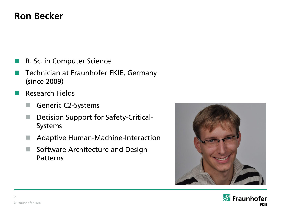#### **Ron Becker**

- B. Sc. in Computer Science
- Technician at Fraunhofer FKIE, Germany (since 2009)
- Research Fields
	- Generic C2-Systems
	- Decision Support for Safety-Critical-Systems
	- Adaptive Human-Machine-Interaction
	- Software Architecture and Design Patterns



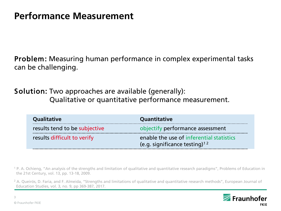## **Performance Measurement**

Problem: Measuring human performance in complex experimental tasks can be challenging.

Solution: Two approaches are available (generally): Qualitative or quantitative performance measurement.

| <b>Qualitative</b>            | <b>Quantitative</b>                                                                   |
|-------------------------------|---------------------------------------------------------------------------------------|
| results tend to be subjective | objectify performance assessment                                                      |
| results difficult to verify   | enable the use of inferential statistics<br>(e.g. significance testing) <sup>12</sup> |

<sup>1</sup> P. A. Ochieng, "An analysis of the strengths and limitation of qualitative and quantitative research paradigms", Problems of Education in the 21st Century, vol. 13, pp. 13-18, 2009.

<sup>2</sup> A. Queirós, D. Faria, and F. Almeida, "Strengths and limitations of qualitative and quantitative research methods", European Journal of Education Studies, vol. 3, no. 9, pp 369-387, 2017.

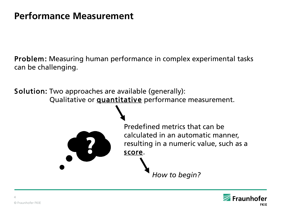## **Performance Measurement**

Problem: Measuring human performance in complex experimental tasks can be challenging.

Solution: Two approaches are available (generally): Qualitative or **quantitative** performance measurement.



Predefined metrics that can be calculated in an automatic manner, resulting in a numeric value, such as a score.

*How to begin?*

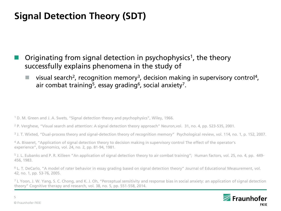# **Signal Detection Theory (SDT)**

 $\blacksquare$  Originating from signal detection in psychophysics<sup>1</sup>, the theory successfully explains phenomena in the study of

 $\blacksquare$  visual search<sup>2</sup>, recognition memory<sup>3</sup>, decision making in supervisory control<sup>4</sup>, air combat training<sup>5</sup>, essay grading<sup>6</sup>, social anxiety<sup>7</sup>.

<sup>1</sup> D. M. Green and J. A. Swets, "Signal detection theory and psychophysics", Wiley, 1966.

<sup>2</sup> P. Verghese, "Visual search and attention: A signal detection theory approach" Neuron,vol. 31, no. 4, pp. 523-535, 2001.

3 J. T. Wixted, "Dual-process theory and signal-detection theory of recognition memory" Psychological review, vol. 114, no. 1, p. 152, 2007.

<sup>4</sup> A. Bisseret, "Application of signal detection theory to decision making in supervisory control The effect of the operator's experience", Ergonomics, vol. 24, no. 2, pp. 81-94, 1981.

5 J. L. Eubanks and P. R. Killeen "An application of signal detection theory to air combat training"; Human factors, vol. 25, no. 4, pp. 449- 456, 1983.

<sup>6</sup> L. T. DeCarlo, "A model of rater behavior in essay grading based on signal detection theory" Journal of Educational Measurement, vol. 42, no. 1, pp. 53-76, 2005.

 $7$  L Yoon, J. W. Yang, S. C. Chong, and K. J. Oh, "Perceptual sensitivity and response bias in social anxiety: an application of signal detection theory" Cognitive therapy and research, vol. 38, no. 5, pp. 551-558, 2014.

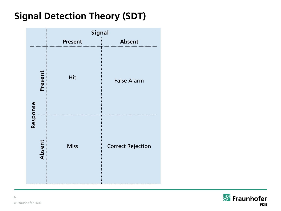# **Signal Detection Theory (SDT)**



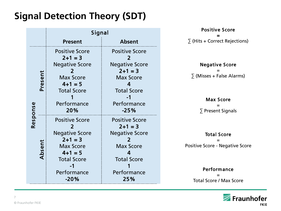# **Signal Detection Theory (SDT)**

|                    | Signal                                                                                                                                        |                                                                                                                                         |  |
|--------------------|-----------------------------------------------------------------------------------------------------------------------------------------------|-----------------------------------------------------------------------------------------------------------------------------------------|--|
|                    | <b>Present</b>                                                                                                                                | <b>Absent</b>                                                                                                                           |  |
| Present            | <b>Positive Score</b><br>$2+1=3$<br><b>Negative Score</b><br>2<br><b>Max Score</b><br>$4 + 1 = 5$<br><b>Total Score</b><br>Performance<br>20% | <b>Positive Score</b><br>2<br><b>Negative Score</b><br>$2+1=3$<br><b>Max Score</b><br><b>Total Score</b><br>-1<br>Performance<br>$-25%$ |  |
| Response<br>Absent | <b>Positive Score</b><br><b>Negative Score</b><br>$2+1=3$<br><b>Max Score</b><br>$4+1=5$<br><b>Total Score</b><br>Performance<br>$-20%$       | <b>Positive Score</b><br>$2+1=3$<br><b>Negative Score</b><br><b>Max Score</b><br><b>Total Score</b><br>Performance<br>25%               |  |

Positive Score =  $\Sigma$  (Hits + Correct Rejections)

Negative Score =  $\sum$  (Misses + False Alarms)

> Max Score = ∑ Present Signals

Total Score = Positive Score - Negative Score

> Performance = Total Score / Max Score

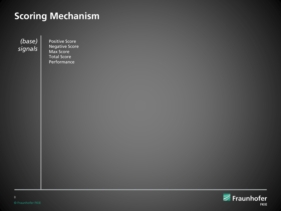# **Scoring Mechanism**

*(base) signals*

Positive Score Negative Score Max Score Total Score Performance

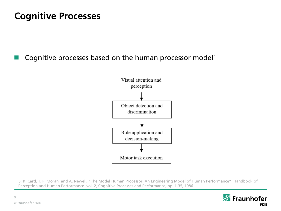## **Cognitive Processes**

Cognitive processes based on the human processor model<sup>1</sup>



<sup>1</sup> S. K. Card, T. P. Moran, and A. Newell, "The Model Human Processor: An Engineering Model of Human Performance" Handbook of Perception and Human Performance. vol. 2, Cognitive Processes and Performance, pp. 1-35, 1986.

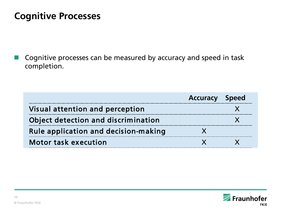## **Cognitive Processes**

 Cognitive processes can be measured by accuracy and speed in task completion.

|                                      | <b>Accuracy Speed</b> |  |
|--------------------------------------|-----------------------|--|
| Visual attention and perception      |                       |  |
| Object detection and discrimination  |                       |  |
| Rule application and decision-making |                       |  |
| <b>Motor task execution</b>          |                       |  |

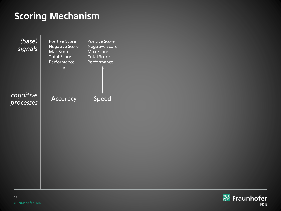# **Scoring Mechanism**



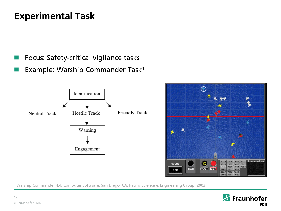## **Experimental Task**

- Focus: Safety-critical vigilance tasks
- Example: Warship Commander Task<sup>1</sup>





<sup>1</sup> Warship Commander 4.4; Computer Software; San Diego, CA: Pacific Science & Engineering Group; 2003.

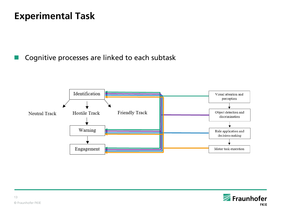## **Experimental Task**

Cognitive processes are linked to each subtask



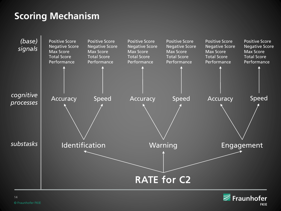# **Scoring Mechanism**



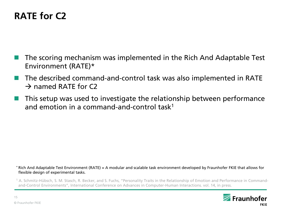- The scoring mechanism was implemented in the Rich And Adaptable Test Environment (RATE)\*
- The described command-and-control task was also implemented in RATE  $\rightarrow$  named RATF for C<sub>2</sub>
- This setup was used to investigate the relationship between performance and emotion in a command-and-control task<sup>1</sup>

\* Rich And Adaptable Test Environment (RATE) = A modular and scalable task environment developed by Fraunhofer FKIE that allows for flexible design of experimental tasks.

<sup>1</sup> A. Schmitz-Hübsch, S. M. Stasch, R. Becker, and S. Fuchs, "Personality Traits in the Relationship of Emotion and Performance in Commandand-Control Environments", International Conference on Advances in Computer-Human Interactions. vol. 14, in press.

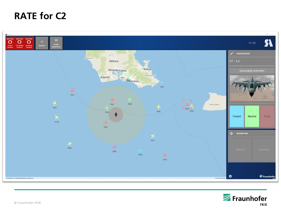

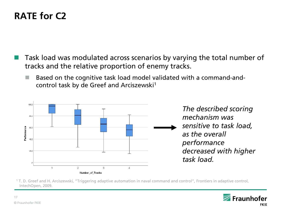- Task load was modulated across scenarios by varying the total number of tracks and the relative proportion of enemy tracks.
	- Based on the cognitive task load model validated with a command-andcontrol task by de Greef and Arciszewski<sup>1</sup>



<sup>1</sup> T. D. Greef and H. Arciszewski, "Triggering adaptive automation in naval command and control", Frontiers in adaptive control, IntechOpen, 2009.

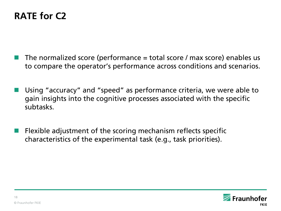- The normalized score (performance = total score / max score) enables us to compare the operator's performance across conditions and scenarios.
- Using "accuracy" and "speed" as performance criteria, we were able to gain insights into the cognitive processes associated with the specific subtasks.
- Flexible adjustment of the scoring mechanism reflects specific characteristics of the experimental task (e.g., task priorities).

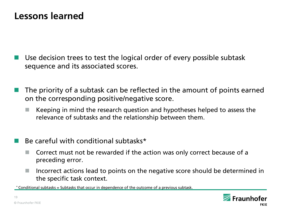#### **Lessons learned**

- Use decision trees to test the logical order of every possible subtask sequence and its associated scores.
- The priority of a subtask can be reflected in the amount of points earned on the corresponding positive/negative score.
	- Keeping in mind the research question and hypotheses helped to assess the relevance of subtasks and the relationship between them.
- Be careful with conditional subtasks\*
	- Correct must not be rewarded if the action was only correct because of a preceding error.
	- $\blacksquare$  Incorrect actions lead to points on the negative score should be determined in the specific task context.

\* Conditional subtasks = Subtasks that occur in dependence of the outcome of a previous subtask.



19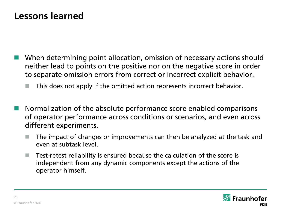#### **Lessons learned**

- When determining point allocation, omission of necessary actions should neither lead to points on the positive nor on the negative score in order to separate omission errors from correct or incorrect explicit behavior.
	- This does not apply if the omitted action represents incorrect behavior.
- Normalization of the absolute performance score enabled comparisons of operator performance across conditions or scenarios, and even across different experiments.
	- The impact of changes or improvements can then be analyzed at the task and even at subtask level.
	- $\blacksquare$  Test-retest reliability is ensured because the calculation of the score is independent from any dynamic components except the actions of the operator himself.